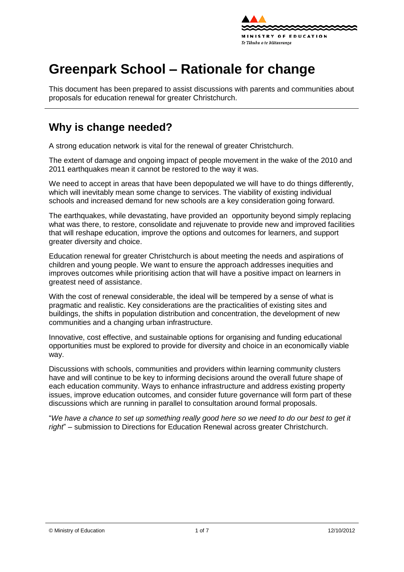

# **Greenpark School – Rationale for change**

This document has been prepared to assist discussions with parents and communities about proposals for education renewal for greater Christchurch.

### **Why is change needed?**

A strong education network is vital for the renewal of greater Christchurch.

The extent of damage and ongoing impact of people movement in the wake of the 2010 and 2011 earthquakes mean it cannot be restored to the way it was.

We need to accept in areas that have been depopulated we will have to do things differently, which will inevitably mean some change to services. The viability of existing individual schools and increased demand for new schools are a key consideration going forward.

The earthquakes, while devastating, have provided an opportunity beyond simply replacing what was there, to [restore,](http://shapingeducation.minedu.govt.nz/guiding-the-process-of-renewal/restore) [consolidate](http://shapingeducation.minedu.govt.nz/guiding-the-process-of-renewal/consolidate) and [rejuvenate](http://shapingeducation.minedu.govt.nz/guiding-the-process-of-renewal/rejuvenate) to provide new and improved facilities that will reshape education, improve the options and outcomes for learners, and support greater diversity and choice.

Education renewal for greater Christchurch is about meeting the needs and aspirations of children and young people. We want to ensure the approach addresses inequities and improves outcomes while prioritising action that will have a positive impact on learners in greatest need of assistance.

With the cost of renewal considerable, the ideal will be tempered by a sense of what is pragmatic and realistic. Key considerations are the practicalities of existing sites and buildings, the shifts in population distribution and concentration, the development of new communities and a changing urban infrastructure.

Innovative, cost effective, and sustainable options for organising and funding educational opportunities must be explored to provide for diversity and choice in an economically viable way.

Discussions with schools, communities and providers within learning community clusters have and will continue to be key to informing decisions around the overall future shape of each education community. Ways to enhance infrastructure and address existing property issues, improve education outcomes, and consider future governance will form part of these discussions which are running in parallel to consultation around formal proposals.

"*We have a chance to set up something really good here so we need to do our best to get it right*" – submission to Directions for Education Renewal across greater Christchurch.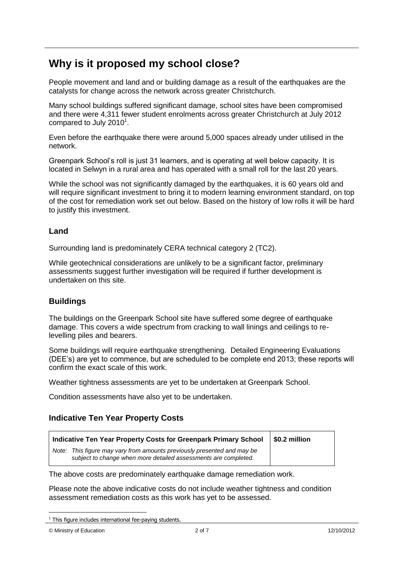### **Why is it proposed my school close?**

People movement and land and or building damage as a result of the earthquakes are the catalysts for change across the network across greater Christchurch.

Many school buildings suffered significant damage, school sites have been compromised and there were 4,311 fewer student enrolments across greater Christchurch at July 2012 compared to July 2010 $^1$ .

Even before the earthquake there were around 5,000 spaces already under utilised in the network.

Greenpark School"s roll is just 31 learners, and is operating at well below capacity. It is located in Selwyn in a rural area and has operated with a small roll for the last 20 years.

While the school was not significantly damaged by the earthquakes, it is 60 years old and will require significant investment to bring it to modern learning environment standard, on top of the cost for remediation work set out below. Based on the history of low rolls it will be hard to justify this investment.

#### **Land**

Surrounding land is predominately CERA technical category 2 (TC2).

While geotechnical considerations are unlikely to be a significant factor, preliminary assessments suggest further investigation will be required if further development is undertaken on this site.

#### **Buildings**

The buildings on the Greenpark School site have suffered some degree of earthquake damage. This covers a wide spectrum from cracking to wall linings and ceilings to relevelling piles and bearers.

Some buildings will require earthquake strengthening. Detailed Engineering Evaluations (DEE"s) are yet to commence, but are scheduled to be complete end 2013; these reports will confirm the exact scale of this work.

Weather tightness assessments are yet to be undertaken at Greenpark School.

Condition assessments have also yet to be undertaken.

#### **Indicative Ten Year Property Costs**

| Indicative Ten Year Property Costs for Greenpark Primary School                                                                               | \$0.2 million |
|-----------------------------------------------------------------------------------------------------------------------------------------------|---------------|
| This figure may vary from amounts previously presented and may be<br>Note:<br>subject to change when more detailed assessments are completed. |               |

The above costs are predominately earthquake damage remediation work.

Please note the above indicative costs do not include weather tightness and condition assessment remediation costs as this work has yet to be assessed.

1

 $1$  This figure includes international fee-paying students.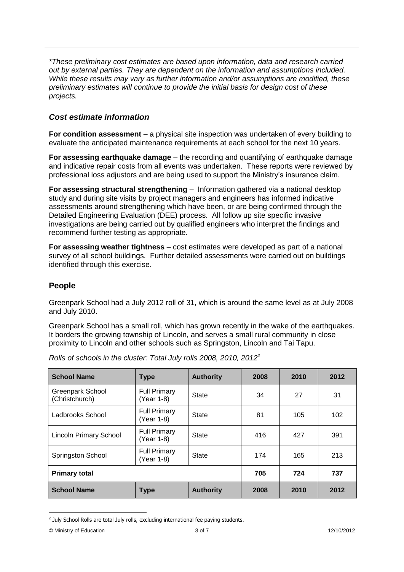*\*These preliminary cost estimates are based upon information, data and research carried out by external parties. They are dependent on the information and assumptions included. While these results may vary as further information and/or assumptions are modified, these preliminary estimates will continue to provide the initial basis for design cost of these projects.*

#### *Cost estimate information*

**For condition assessment** – a physical site inspection was undertaken of every building to evaluate the anticipated maintenance requirements at each school for the next 10 years.

**For assessing earthquake damage** – the recording and quantifying of earthquake damage and indicative repair costs from all events was undertaken. These reports were reviewed by professional loss adjustors and are being used to support the Ministry"s insurance claim.

**For assessing structural strengthening** – Information gathered via a national desktop study and during site visits by project managers and engineers has informed indicative assessments around strengthening which have been, or are being confirmed through the Detailed Engineering Evaluation (DEE) process. All follow up site specific invasive investigations are being carried out by qualified engineers who interpret the findings and recommend further testing as appropriate.

**For assessing weather tightness** – cost estimates were developed as part of a national survey of all school buildings. Further detailed assessments were carried out on buildings identified through this exercise.

#### **People**

Greenpark School had a July 2012 roll of 31, which is around the same level as at July 2008 and July 2010.

Greenpark School has a small roll, which has grown recently in the wake of the earthquakes. It borders the growing township of Lincoln, and serves a small rural community in close proximity to Lincoln and other schools such as Springston, Lincoln and Tai Tapu.

| <b>School Name</b>                 | <b>Type</b>                       | <b>Authority</b> | 2008 | 2010 | 2012 |
|------------------------------------|-----------------------------------|------------------|------|------|------|
| Greenpark School<br>(Christchurch) | <b>Full Primary</b><br>(Year 1-8) | <b>State</b>     | 34   | 27   | 31   |
| Ladbrooks School                   | <b>Full Primary</b><br>(Year 1-8) | <b>State</b>     | 81   | 105  | 102  |
| Lincoln Primary School             | <b>Full Primary</b><br>(Year 1-8) | State            | 416  | 427  | 391  |
| Springston School                  | <b>Full Primary</b><br>(Year 1-8) | <b>State</b>     | 174  | 165  | 213  |
| <b>Primary total</b>               |                                   | 705              | 724  | 737  |      |
| <b>School Name</b>                 | <b>Type</b>                       | <b>Authority</b> | 2008 | 2010 | 2012 |

*Rolls of schools in the cluster: Total July rolls 2008, 2010, 2012<sup>2</sup>*

1

 $2$  July School Rolls are total July rolls, excluding international fee paying students.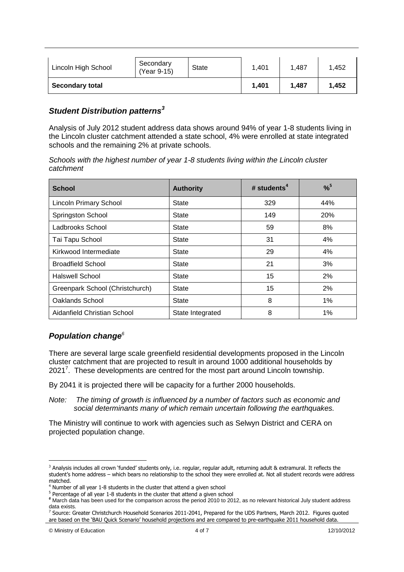| Lincoln High School    | Secondary<br>(Year 9-15) | <b>State</b> | 1.401 | 1.487 | 1.452 |
|------------------------|--------------------------|--------------|-------|-------|-------|
| <b>Secondary total</b> |                          | 1.401        | 1.487 | 1.452 |       |

#### *Student Distribution patterns<sup>3</sup>*

Analysis of July 2012 student address data shows around 94% of year 1-8 students living in the Lincoln cluster catchment attended a state school, 4% were enrolled at state integrated schools and the remaining 2% at private schools.

*Schools with the highest number of year 1-8 students living within the Lincoln cluster catchment*

| <b>School</b>                   | <b>Authority</b> | # students <sup>4</sup> | $%^{5}$ |  |
|---------------------------------|------------------|-------------------------|---------|--|
| <b>Lincoln Primary School</b>   | State            | 329                     | 44%     |  |
| <b>Springston School</b>        | State            | 149                     | 20%     |  |
| Ladbrooks School                | <b>State</b>     | 59                      | 8%      |  |
| Tai Tapu School                 | <b>State</b>     | 31                      | 4%      |  |
| Kirkwood Intermediate           | State            | 29                      | 4%      |  |
| <b>Broadfield School</b>        | <b>State</b>     | 21                      | 3%      |  |
| <b>Halswell School</b>          | State            | 15                      | 2%      |  |
| Greenpark School (Christchurch) | <b>State</b>     | 15                      | 2%      |  |
| Oaklands School                 | State            | 8                       | 1%      |  |
| Aidanfield Christian School     | State Integrated | 8                       | $1\%$   |  |

#### *Population change<sup>6</sup>*

There are several large scale greenfield residential developments proposed in the Lincoln cluster catchment that are projected to result in around 1000 additional households by 2021<sup>7</sup>. These developments are centred for the most part around Lincoln township.

By 2041 it is projected there will be capacity for a further 2000 households.

*Note: The timing of growth is influenced by a number of factors such as economic and social determinants many of which remain uncertain following the earthquakes.*

The Ministry will continue to work with agencies such as Selwyn District and CERA on projected population change.

<sup>7</sup> Source: Greater Christchurch Household Scenarios 2011-2041, Prepared for the UDS Partners, March 2012. Figures quoted are based on the 'BAU Quick Scenario' household projections and are compared to pre-earthquake 2011 household data.

<u>.</u>

<sup>&</sup>lt;sup>3</sup> Analysis includes all crown 'funded' students only, i.e. regular, regular adult, returning adult & extramural. It reflects the student's home address – which bears no relationship to the school they were enrolled at. Not all student records were address matched.

<sup>4</sup> Number of all year 1-8 students in the cluster that attend a given school

<sup>&</sup>lt;sup>5</sup> Percentage of all year 1-8 students in the cluster that attend a given school

*<sup>6</sup>* March data has been used for the comparison across the period 2010 to 2012, as no relevant historical July student address data exists.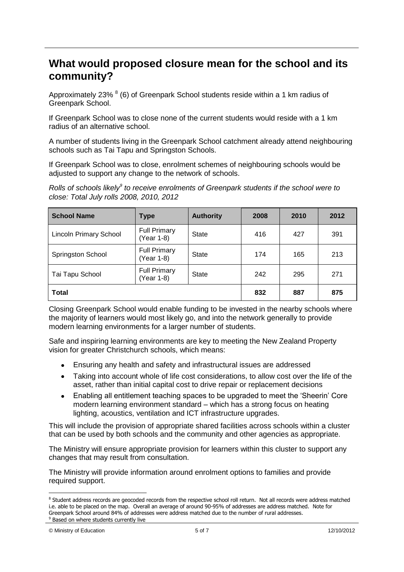### **What would proposed closure mean for the school and its community?**

Approximately 23% <sup>8</sup> (6) of Greenpark School students reside within a 1 km radius of Greenpark School.

If Greenpark School was to close none of the current students would reside with a 1 km radius of an alternative school.

A number of students living in the Greenpark School catchment already attend neighbouring schools such as Tai Tapu and Springston Schools.

If Greenpark School was to close, enrolment schemes of neighbouring schools would be adjusted to support any change to the network of schools.

*Rolls of schools likely<sup>9</sup> to receive enrolments of Greenpark students if the school were to close: Total July rolls 2008, 2010, 2012*

| <b>School Name</b>            | <b>Type</b>                       | <b>Authority</b> | 2008 | 2010 | 2012 |
|-------------------------------|-----------------------------------|------------------|------|------|------|
| <b>Lincoln Primary School</b> | <b>Full Primary</b><br>(Year 1-8) | <b>State</b>     | 416  | 427  | 391  |
| Springston School             | <b>Full Primary</b><br>(Year 1-8) | <b>State</b>     | 174  | 165  | 213  |
| Tai Tapu School               | <b>Full Primary</b><br>(Year 1-8) | <b>State</b>     | 242  | 295  | 271  |
| <b>Total</b>                  |                                   |                  | 832  | 887  | 875  |

Closing Greenpark School would enable funding to be invested in the nearby schools where the majority of learners would most likely go, and into the network generally to provide modern learning environments for a larger number of students.

Safe and inspiring learning environments are key to meeting the New Zealand Property vision for greater Christchurch schools, which means:

- Ensuring any health and safety and infrastructural issues are addressed  $\bullet$
- Taking into account whole of life cost considerations, to allow cost over the life of the  $\bullet$ asset, rather than initial capital cost to drive repair or replacement decisions
- $\bullet$ Enabling all entitlement teaching spaces to be upgraded to meet the "Sheerin" Core modern learning environment standard – which has a strong focus on heating lighting, acoustics, ventilation and ICT infrastructure upgrades.

This will include the provision of appropriate shared facilities across schools within a cluster that can be used by both schools and the community and other agencies as appropriate.

The Ministry will ensure appropriate provision for learners within this cluster to support any changes that may result from consultation.

The Ministry will provide information around enrolment options to families and provide required support.

1

<sup>&</sup>lt;sup>8</sup> Student address records are geocoded records from the respective school roll return. Not all records were address matched i.e. able to be placed on the map. Overall an average of around 90-95% of addresses are address matched. Note for Greenpark School around 84% of addresses were address matched due to the number of rural addresses. <sup>9</sup> Based on where students currently live

<sup>©</sup> Ministry of Education 5 of 7 12/10/2012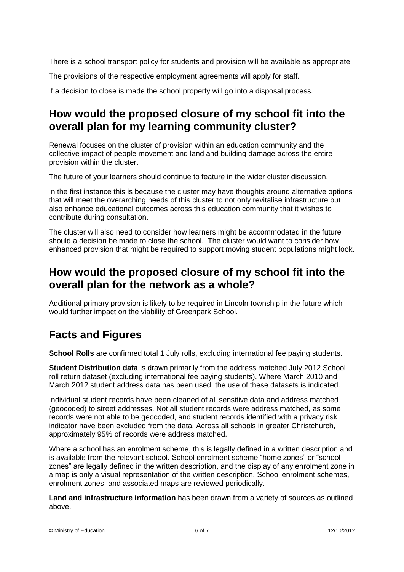There is a school transport policy for students and provision will be available as appropriate.

The provisions of the respective employment agreements will apply for staff.

If a decision to close is made the school property will go into a disposal process.

### **How would the proposed closure of my school fit into the overall plan for my learning community cluster?**

Renewal focuses on the cluster of provision within an education community and the collective impact of people movement and land and building damage across the entire provision within the cluster.

The future of your learners should continue to feature in the wider cluster discussion.

In the first instance this is because the cluster may have thoughts around alternative options that will meet the overarching needs of this cluster to not only revitalise infrastructure but also enhance educational outcomes across this education community that it wishes to contribute during consultation.

The cluster will also need to consider how learners might be accommodated in the future should a decision be made to close the school. The cluster would want to consider how enhanced provision that might be required to support moving student populations might look.

### **How would the proposed closure of my school fit into the overall plan for the network as a whole?**

Additional primary provision is likely to be required in Lincoln township in the future which would further impact on the viability of Greenpark School.

## **Facts and Figures**

**School Rolls** are confirmed total 1 July rolls, excluding international fee paying students.

**Student Distribution data** is drawn primarily from the address matched July 2012 School roll return dataset (excluding international fee paying students). Where March 2010 and March 2012 student address data has been used, the use of these datasets is indicated.

Individual student records have been cleaned of all sensitive data and address matched (geocoded) to street addresses. Not all student records were address matched, as some records were not able to be geocoded, and student records identified with a privacy risk indicator have been excluded from the data. Across all schools in greater Christchurch, approximately 95% of records were address matched.

Where a school has an enrolment scheme, this is legally defined in a written description and is available from the relevant school. School enrolment scheme "home zones" or "school zones" are legally defined in the written description, and the display of any enrolment zone in a map is only a visual representation of the written description. School enrolment schemes, enrolment zones, and associated maps are reviewed periodically.

**Land and infrastructure information** has been drawn from a variety of sources as outlined above.

© Ministry of Education 6 of 7 12/10/2012